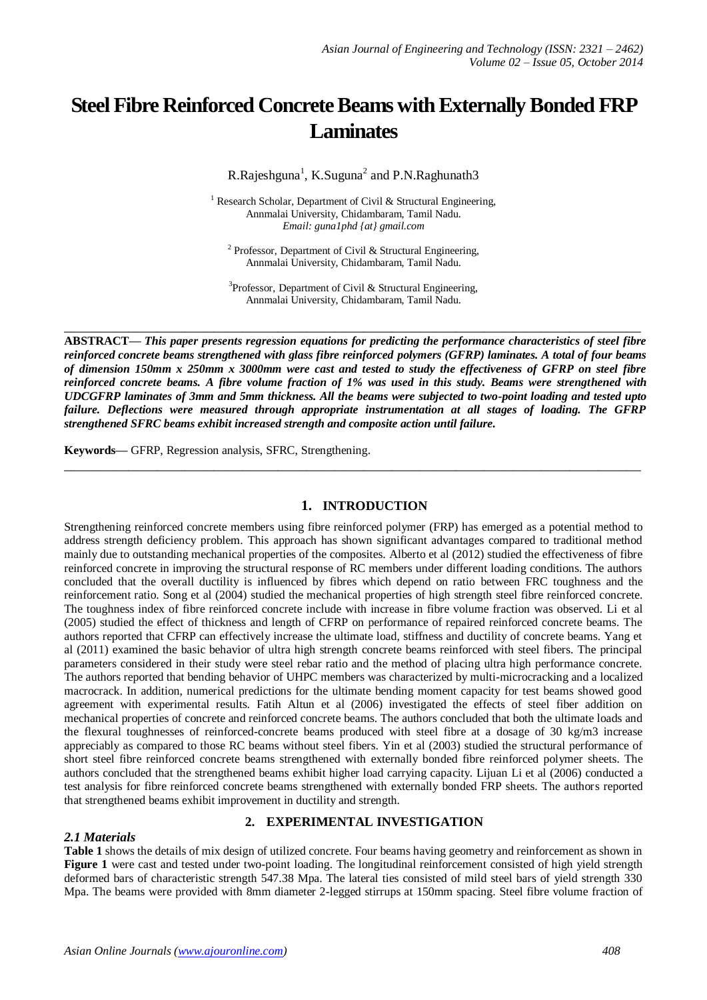# **Steel Fibre Reinforced Concrete Beams with Externally Bonded FRP Laminates**

R.Rajeshguna<sup>1</sup>, K.Suguna<sup>2</sup> and P.N.Raghunath3

<sup>1</sup> Research Scholar, Department of Civil & Structural Engineering, Annmalai University, Chidambaram, Tamil Nadu. *Email: guna1phd {at} gmail.com*

<sup>2</sup> Professor, Department of Civil & Structural Engineering, Annmalai University, Chidambaram, Tamil Nadu.

 $3$ Professor, Department of Civil & Structural Engineering, Annmalai University, Chidambaram, Tamil Nadu.

**\_\_\_\_\_\_\_\_\_\_\_\_\_\_\_\_\_\_\_\_\_\_\_\_\_\_\_\_\_\_\_\_\_\_\_\_\_\_\_\_\_\_\_\_\_\_\_\_\_\_\_\_\_\_\_\_\_\_\_\_\_\_\_\_\_\_\_\_\_\_\_\_\_\_\_\_\_\_\_\_\_**

**ABSTRACT—** *This paper presents regression equations for predicting the performance characteristics of steel fibre reinforced concrete beams strengthened with glass fibre reinforced polymers (GFRP) laminates. A total of four beams of dimension 150mm x 250mm x 3000mm were cast and tested to study the effectiveness of GFRP on steel fibre reinforced concrete beams. A fibre volume fraction of 1% was used in this study. Beams were strengthened with UDCGFRP laminates of 3mm and 5mm thickness. All the beams were subjected to two-point loading and tested upto failure. Deflections were measured through appropriate instrumentation at all stages of loading. The GFRP strengthened SFRC beams exhibit increased strength and composite action until failure.*

**Keywords—** GFRP, Regression analysis, SFRC, Strengthening.

## **1. INTRODUCTION**

**\_\_\_\_\_\_\_\_\_\_\_\_\_\_\_\_\_\_\_\_\_\_\_\_\_\_\_\_\_\_\_\_\_\_\_\_\_\_\_\_\_\_\_\_\_\_\_\_\_\_\_\_\_\_\_\_\_\_\_\_\_\_\_\_\_\_\_\_\_\_\_\_\_\_\_\_\_\_\_\_\_**

Strengthening reinforced concrete members using fibre reinforced polymer (FRP) has emerged as a potential method to address strength deficiency problem. This approach has shown significant advantages compared to traditional method mainly due to outstanding mechanical properties of the composites. Alberto et al (2012) studied the effectiveness of fibre reinforced concrete in improving the structural response of RC members under different loading conditions. The authors concluded that the overall ductility is influenced by fibres which depend on ratio between FRC toughness and the reinforcement ratio. Song et al (2004) studied the mechanical properties of high strength steel fibre reinforced concrete. The toughness index of fibre reinforced concrete include with increase in fibre volume fraction was observed. Li et al (2005) studied the effect of thickness and length of CFRP on performance of repaired reinforced concrete beams. The authors reported that CFRP can effectively increase the ultimate load, stiffness and ductility of concrete beams. Yang et al (2011) examined the basic behavior of ultra high strength concrete beams reinforced with steel fibers. The principal parameters considered in their study were steel rebar ratio and the method of placing ultra high performance concrete. The authors reported that bending behavior of UHPC members was characterized by multi-microcracking and a localized macrocrack. In addition, numerical predictions for the ultimate bending moment capacity for test beams showed good agreement with experimental results. Fatih Altun et al (2006) investigated the effects of steel fiber addition on mechanical properties of concrete and reinforced concrete beams. The authors concluded that both the ultimate loads and the flexural toughnesses of reinforced-concrete beams produced with steel fibre at a dosage of 30 kg/m3 increase appreciably as compared to those RC beams without steel fibers. Yin et al (2003) studied the structural performance of short steel fibre reinforced concrete beams strengthened with externally bonded fibre reinforced polymer sheets. The authors concluded that the strengthened beams exhibit higher load carrying capacity. Lijuan Li et al (2006) conducted a test analysis for fibre reinforced concrete beams strengthened with externally bonded FRP sheets. The authors reported that strengthened beams exhibit improvement in ductility and strength.

# *2.1 Materials*

# **2. EXPERIMENTAL INVESTIGATION**

**Table 1** shows the details of mix design of utilized concrete. Four beams having geometry and reinforcement as shown in **Figure 1** were cast and tested under two-point loading. The longitudinal reinforcement consisted of high yield strength deformed bars of characteristic strength 547.38 Mpa. The lateral ties consisted of mild steel bars of yield strength 330 Mpa. The beams were provided with 8mm diameter 2-legged stirrups at 150mm spacing. Steel fibre volume fraction of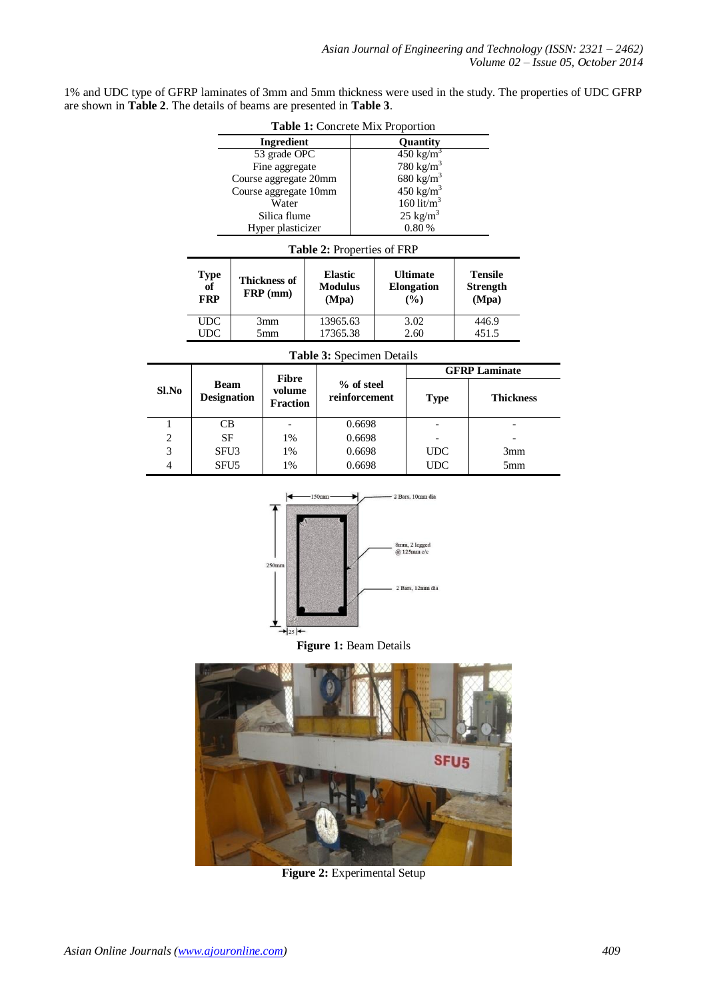| 1% and UDC type of GFRP laminates of 3mm and 5mm thickness were used in the study. The properties of UDC GFRP |  |  |
|---------------------------------------------------------------------------------------------------------------|--|--|
| are shown in <b>Table 2</b> . The details of beams are presented in <b>Table 3</b> .                          |  |  |

|                                                                                                              |                                   |  |                                            | Table 1: Concrete Mix Proportion          |                             |                      |                                                |  |                                            |  |
|--------------------------------------------------------------------------------------------------------------|-----------------------------------|--|--------------------------------------------|-------------------------------------------|-----------------------------|----------------------|------------------------------------------------|--|--------------------------------------------|--|
|                                                                                                              | Ingredient<br>Quantity            |  |                                            |                                           |                             |                      |                                                |  |                                            |  |
|                                                                                                              | 53 grade OPC<br>Fine aggregate    |  |                                            |                                           |                             |                      | $450 \text{ kg/m}^3$                           |  |                                            |  |
|                                                                                                              |                                   |  | Course aggregate 20mm                      |                                           |                             |                      | 780 kg/m <sup>3</sup><br>680 kg/m <sup>3</sup> |  |                                            |  |
|                                                                                                              |                                   |  | Course aggregate 10mm                      |                                           |                             |                      | $450 \text{ kg/m}^3$                           |  |                                            |  |
|                                                                                                              |                                   |  | Water                                      |                                           |                             |                      | 160 lit/ $m^3$                                 |  |                                            |  |
|                                                                                                              |                                   |  | Silica flume                               |                                           |                             |                      | $25 \text{ kg/m}^3$                            |  |                                            |  |
|                                                                                                              |                                   |  | Hyper plasticizer                          |                                           |                             |                      | $0.80\,\%$                                     |  |                                            |  |
|                                                                                                              |                                   |  |                                            | Table 2: Properties of FRP                |                             |                      |                                                |  |                                            |  |
|                                                                                                              | <b>Type</b><br>of<br><b>FRP</b>   |  | <b>Thickness of</b><br>$\mathbf{FRP}$ (mm) | <b>Elastic</b><br><b>Modulus</b><br>(Mpa) |                             |                      | <b>Ultimate</b><br><b>Elongation</b><br>(%)    |  | <b>Tensile</b><br><b>Strength</b><br>(Mpa) |  |
|                                                                                                              | $\ensuremath{\mathsf{UDC}}$       |  | 3mm                                        | 13965.63                                  |                             |                      | 3.02                                           |  | 446.9                                      |  |
|                                                                                                              | $\ensuremath{\mathsf{UDC}}$       |  | 5mm                                        | 17365.38                                  |                             |                      | 2.60                                           |  | 451.5                                      |  |
|                                                                                                              |                                   |  |                                            | Table 3: Specimen Details                 |                             |                      |                                                |  |                                            |  |
|                                                                                                              |                                   |  | <b>Fibre</b>                               |                                           |                             |                      |                                                |  | <b>GFRP Laminate</b>                       |  |
| Sl.No                                                                                                        | <b>Beam</b><br><b>Designation</b> |  | volume<br><b>Fraction</b>                  |                                           | % of steel<br>reinforcement |                      | <b>Type</b>                                    |  | <b>Thickness</b>                           |  |
| 1                                                                                                            | CB                                |  | $\overline{\phantom{0}}$                   |                                           | 0.6698                      |                      |                                                |  |                                            |  |
| $\overline{c}$                                                                                               | SF                                |  | 1%                                         |                                           | 0.6698                      |                      |                                                |  |                                            |  |
| 3                                                                                                            | SFU3                              |  | 1%                                         |                                           |                             | 0.6698<br><b>UDC</b> |                                                |  | 3mm                                        |  |
| $\overline{4}$                                                                                               | SFU <sub>5</sub>                  |  | 1%                                         |                                           | 0.6698                      |                      | <b>UDC</b>                                     |  | 5mm                                        |  |
| 150mm<br>2 Bars, 10mm dia<br>8mm, 2 legged<br>@ 125mm c/c<br>250 <sub>mm</sub><br>2 Bars, 12mm dia<br>$+25+$ |                                   |  |                                            |                                           |                             |                      |                                                |  |                                            |  |
|                                                                                                              |                                   |  |                                            | Figure 1: Beam Details                    |                             |                      |                                                |  |                                            |  |
| SFU <sub>5</sub>                                                                                             |                                   |  |                                            |                                           |                             |                      |                                                |  |                                            |  |

**Figure 2:** Experimental Setup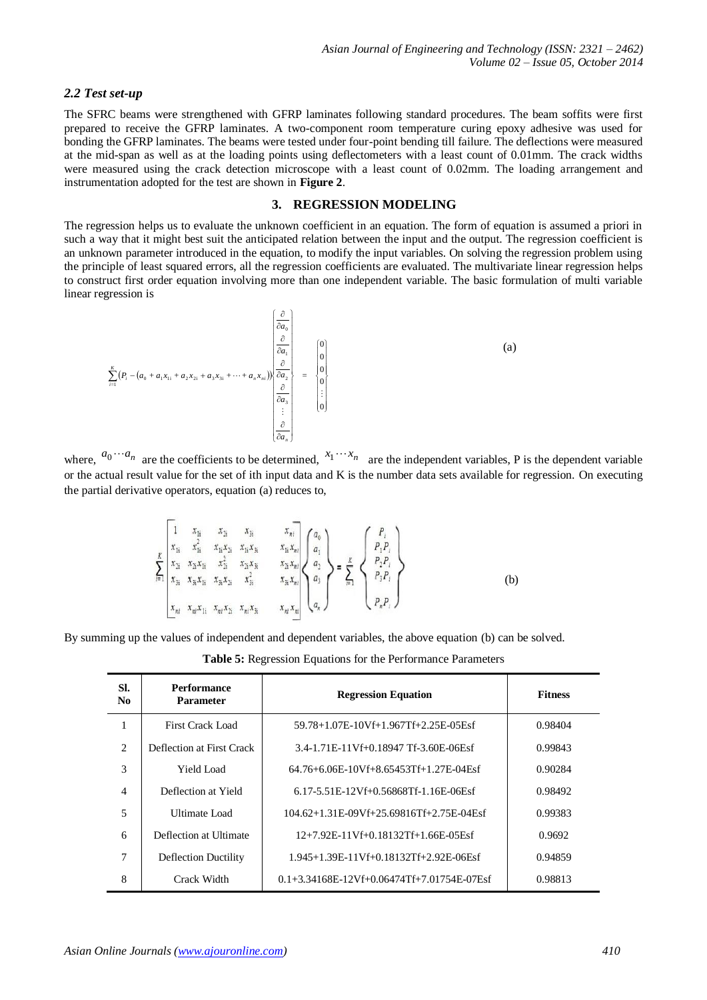#### *2.2 Test set-up*

The SFRC beams were strengthened with GFRP laminates following standard procedures. The beam soffits were first prepared to receive the GFRP laminates. A two-component room temperature curing epoxy adhesive was used for bonding the GFRP laminates. The beams were tested under four-point bending till failure. The deflections were measured at the mid-span as well as at the loading points using deflectometers with a least count of 0.01mm. The crack widths were measured using the crack detection microscope with a least count of 0.02mm. The loading arrangement and instrumentation adopted for the test are shown in **Figure 2**.

# **3. REGRESSION MODELING**

The regression helps us to evaluate the unknown coefficient in an equation. The form of equation is assumed a priori in such a way that it might best suit the anticipated relation between the input and the output. The regression coefficient is an unknown parameter introduced in the equation, to modify the input variables. On solving the regression problem using the principle of least squared errors, all the regression coefficients are evaluated. The multivariate linear regression helps to construct first order equation involving more than one independent variable. The basic formulation of multi variable linear regression is

$$
\sum_{i=1}^{K} (P_i - (a_0 + a_1x_{1i} + a_2x_{2i} + a_3x_{3i} + \dots + a_nx_{ni}) ) \begin{pmatrix} \frac{\partial}{\partial a_0} \\ \frac{\partial}{\partial a_1} \\ \frac{\partial}{\partial a_2} \\ \frac{\partial}{\partial a_3} \\ \vdots \\ \frac{\partial}{\partial a_n} \end{pmatrix} = \begin{pmatrix} 0 \\ 0 \\ 0 \\ 0 \\ 0 \\ \vdots \\ 0 \end{pmatrix}
$$
 (a)

where,  $a_0 \cdots a_n$  are the coefficients to be determined,  $x_1 \cdots x_n$  are the independent variables, P is the dependent variable or the actual result value for the set of ith input data and K is the number data sets available for regression. On executing the partial derivative operators, equation (a) reduces to,

$$
\sum_{i=1}^{K} \begin{bmatrix} 1 & x_{1i} & x_{2i} & x_{3i} & x_{ni} \\ x_{1i} & x_{1i}^{2} & x_{1i}x_{2i} & x_{1i}x_{3i} & x_{1i}x_{ni} \\ x_{2i} & x_{2i}x_{1i} & x_{2i}^{2} & x_{2i}x_{3i} & x_{2i}x_{ni} \\ x_{3i} & x_{3i}x_{1i} & x_{3i}x_{2i} & x_{3i}^{2} & x_{3i}x_{ni} \\ x_{ni} & x_{ni}x_{1i} & x_{ni}x_{2i} & x_{ni}x_{3i} & x_{ni}x_{ni} \end{bmatrix} \begin{pmatrix} a_{0} \\ a_{1} \\ a_{2} \\ a_{3} \\ a_{4} \end{pmatrix} = \sum_{i=1}^{K} \begin{Bmatrix} P_{i} \\ P_{1}P_{i} \\ P_{2}P_{i} \\ P_{3}P_{i} \\ P_{n}P_{i} \end{Bmatrix}
$$
 (b)

By summing up the values of independent and dependent variables, the above equation (b) can be solved.

|  |  |  |  |  |  | Table 5: Regression Equations for the Performance Parameters |  |
|--|--|--|--|--|--|--------------------------------------------------------------|--|
|--|--|--|--|--|--|--------------------------------------------------------------|--|

| SI.<br>N <sub>0</sub>         | <b>Performance</b><br><b>Parameter</b> | <b>Regression Equation</b>                             | <b>Fitness</b> |  |
|-------------------------------|----------------------------------------|--------------------------------------------------------|----------------|--|
|                               | First Crack Load                       | 59.78+1.07E-10Vf+1.967Tf+2.25E-05Esf                   | 0.98404        |  |
| $\mathfrak{D}_{\mathfrak{p}}$ | Deflection at First Crack              | 3.4-1.71E-11Vf+0.18947 Tf-3.60E-06Esf                  | 0.99843        |  |
| 3                             | Yield Load                             | 64.76+6.06E-10Vf+8.65453Tf+1.27E-04Esf                 | 0.90284        |  |
| $\overline{4}$                | Deflection at Yield                    | 6.17-5.51E-12Vf+0.56868Tf-1.16E-06Esf                  | 0.98492        |  |
| 5                             | <b>Ultimate Load</b>                   | 104.62+1.31E-09Vf+25.69816Tf+2.75E-04Esf               | 0.99383        |  |
| 6                             | Deflection at Ultimate                 | 12+7.92E-11Vf+0.18132Tf+1.66E-05Esf                    | 0.9692         |  |
| 7                             | <b>Deflection Ductility</b>            | 1.945+1.39E-11Vf+0.18132Tf+2.92E-06Esf                 | 0.94859        |  |
| 8                             | Crack Width                            | $0.1 + 3.34168E - 12Vf + 0.06474Tf + 7.01754E - 07Esf$ | 0.98813        |  |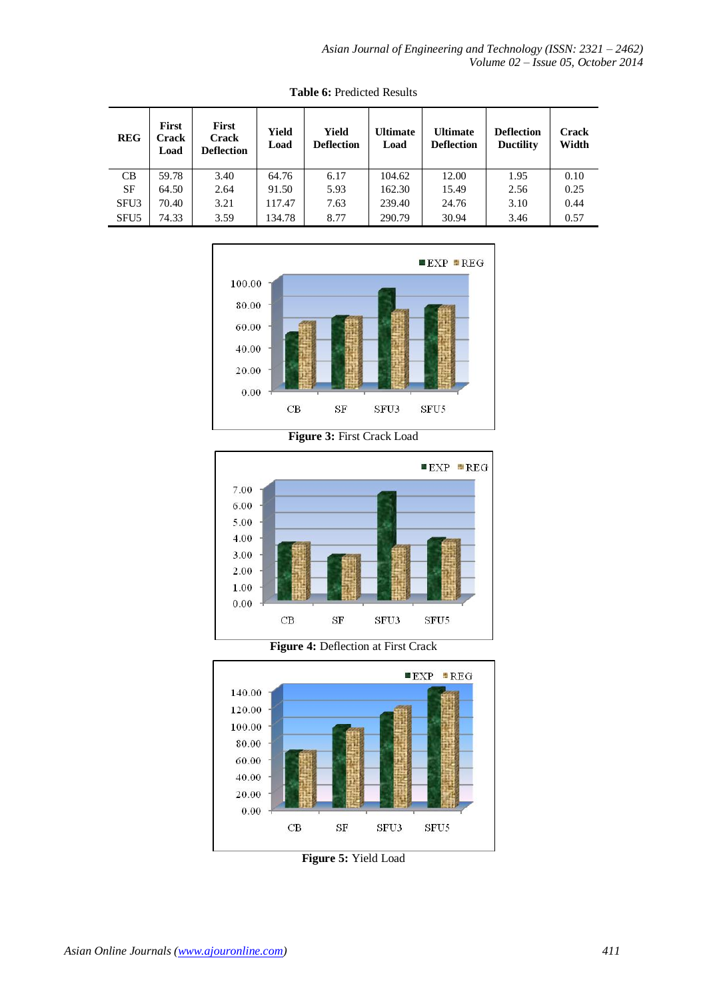| <b>REG</b>       | <b>First</b><br>Crack<br>Load | First<br><b>Crack</b><br><b>Deflection</b> | Yield<br>Load | Yield<br><b>Deflection</b> | <b>Ultimate</b><br>Load | <b>Ultimate</b><br><b>Deflection</b> | <b>Deflection</b><br><b>Ductility</b> | <b>Crack</b><br>Width |
|------------------|-------------------------------|--------------------------------------------|---------------|----------------------------|-------------------------|--------------------------------------|---------------------------------------|-----------------------|
| CB               | 59.78                         | 3.40                                       | 64.76         | 6.17                       | 104.62                  | 12.00                                | 1.95                                  | 0.10                  |
| SF               | 64.50                         | 2.64                                       | 91.50         | 5.93                       | 162.30                  | 15.49                                | 2.56                                  | 0.25                  |
| SFU3             | 70.40                         | 3.21                                       | 117.47        | 7.63                       | 239.40                  | 24.76                                | 3.10                                  | 0.44                  |
| SFU <sub>5</sub> | 74.33                         | 3.59                                       | 134.78        | 8.77                       | 290.79                  | 30.94                                | 3.46                                  | 0.57                  |

**Table 6:** Predicted Results







**Figure 4:** Deflection at First Crack



**Figure 5:** Yield Load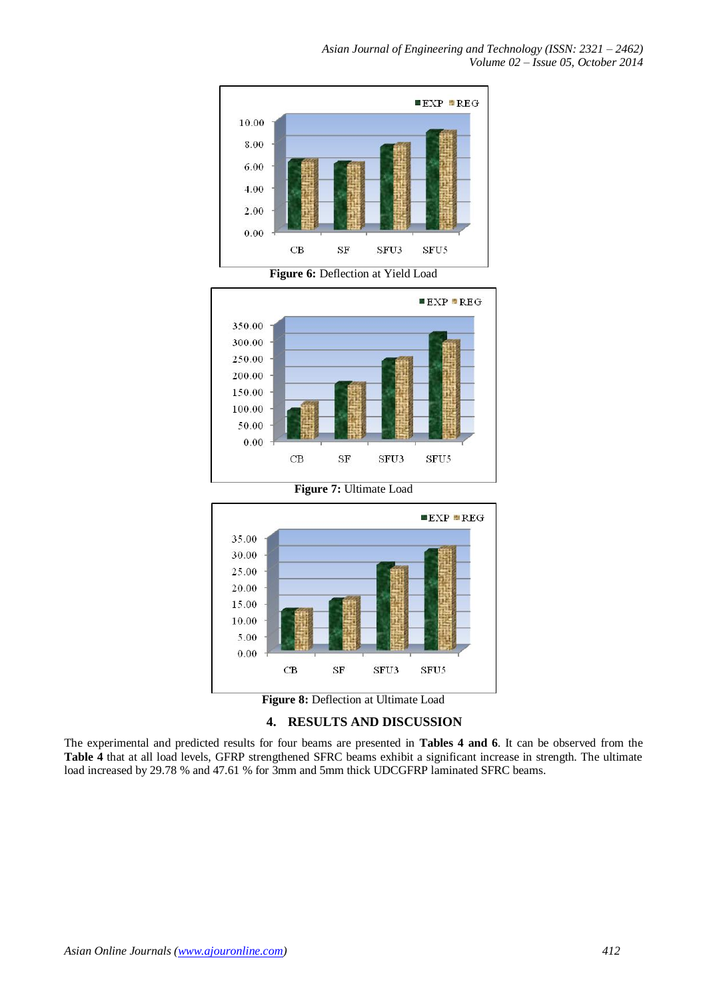*Asian Journal of Engineering and Technology (ISSN: 2321 – 2462) Volume 02 – Issue 05, October 2014*









#### **4. RESULTS AND DISCUSSION**

The experimental and predicted results for four beams are presented in **Tables 4 and 6**. It can be observed from the **Table 4** that at all load levels, GFRP strengthened SFRC beams exhibit a significant increase in strength. The ultimate load increased by 29.78 % and 47.61 % for 3mm and 5mm thick UDCGFRP laminated SFRC beams.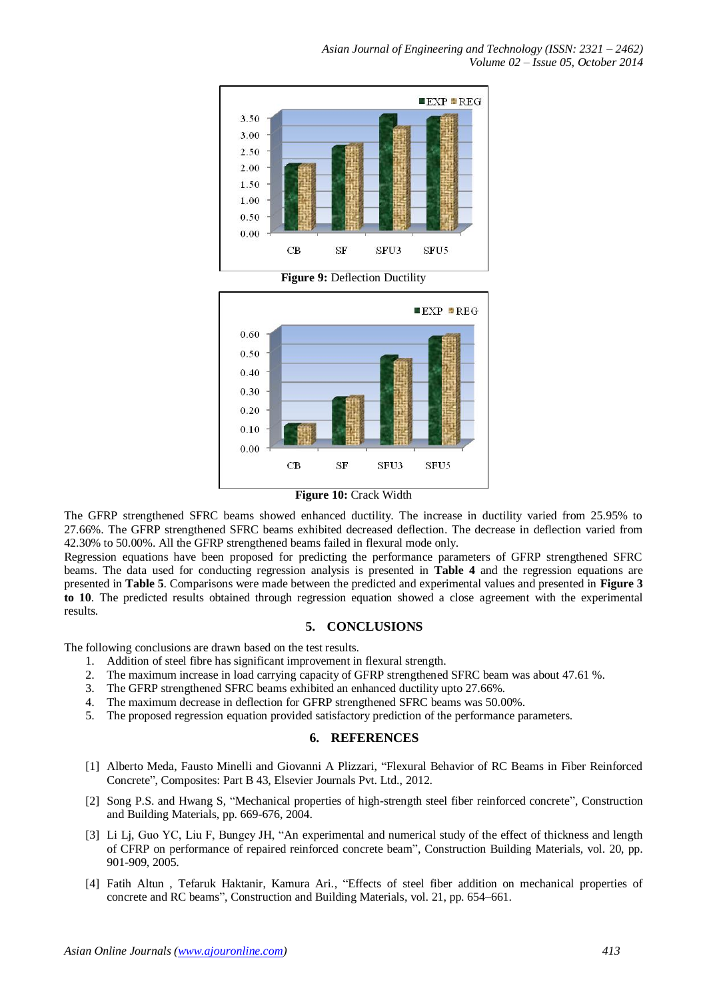

The GFRP strengthened SFRC beams showed enhanced ductility. The increase in ductility varied from 25.95% to 27.66%. The GFRP strengthened SFRC beams exhibited decreased deflection. The decrease in deflection varied from 42.30% to 50.00%. All the GFRP strengthened beams failed in flexural mode only.

Regression equations have been proposed for predicting the performance parameters of GFRP strengthened SFRC beams. The data used for conducting regression analysis is presented in **Table 4** and the regression equations are presented in **Table 5**. Comparisons were made between the predicted and experimental values and presented in **Figure 3 to 10**. The predicted results obtained through regression equation showed a close agreement with the experimental results.

#### **5. CONCLUSIONS**

The following conclusions are drawn based on the test results.

- 1. Addition of steel fibre has significant improvement in flexural strength.
- 2. The maximum increase in load carrying capacity of GFRP strengthened SFRC beam was about 47.61 %.
- 3. The GFRP strengthened SFRC beams exhibited an enhanced ductility upto 27.66%.
- 4. The maximum decrease in deflection for GFRP strengthened SFRC beams was 50.00%.
- 5. The proposed regression equation provided satisfactory prediction of the performance parameters.

#### **6. REFERENCES**

- [1] Alberto Meda, Fausto Minelli and Giovanni A Plizzari, "Flexural Behavior of RC Beams in Fiber Reinforced Concrete", Composites: Part B 43, Elsevier Journals Pvt. Ltd., 2012.
- [2] Song P.S. and Hwang S, "Mechanical properties of high-strength steel fiber reinforced concrete", Construction and Building Materials, pp. 669-676, 2004.
- [3] Li Lj, Guo YC, Liu F, Bungey JH, "An experimental and numerical study of the effect of thickness and length of CFRP on performance of repaired reinforced concrete beam", Construction Building Materials, vol. 20, pp. 901-909, 2005.
- [4] Fatih Altun , Tefaruk Haktanir, Kamura Ari., "Effects of steel fiber addition on mechanical properties of concrete and RC beams", Construction and Building Materials, vol. 21, pp. 654–661.